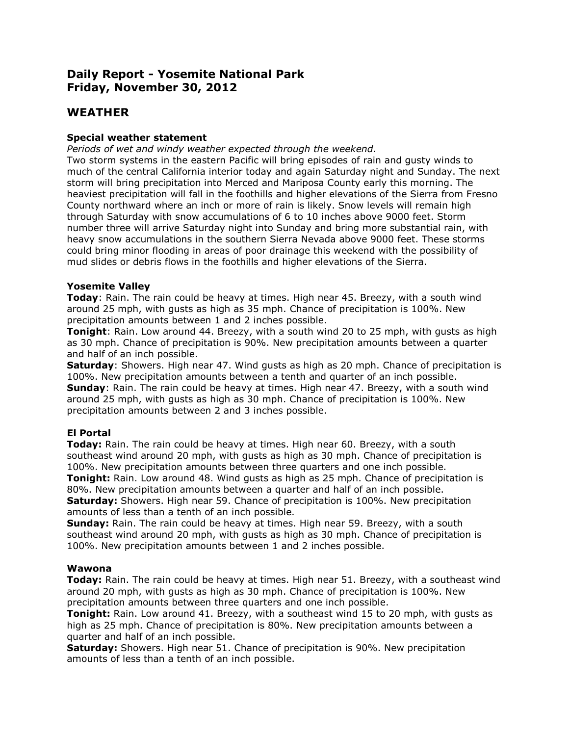# **Daily Report - Yosemite National Park Friday, November 30, 2012**

## **WEATHER**

## **Special weather statement**

*Periods of wet and windy weather expected through the weekend.* 

Two storm systems in the eastern Pacific will bring episodes of rain and gusty winds to much of the central California interior today and again Saturday night and Sunday. The next storm will bring precipitation into Merced and Mariposa County early this morning. The heaviest precipitation will fall in the foothills and higher elevations of the Sierra from Fresno County northward where an inch or more of rain is likely. Snow levels will remain high through Saturday with snow accumulations of 6 to 10 inches above 9000 feet. Storm number three will arrive Saturday night into Sunday and bring more substantial rain, with heavy snow accumulations in the southern Sierra Nevada above 9000 feet. These storms could bring minor flooding in areas of poor drainage this weekend with the possibility of mud slides or debris flows in the foothills and higher elevations of the Sierra.

## **Yosemite Valley**

**Today**: Rain. The rain could be heavy at times. High near 45. Breezy, with a south wind around 25 mph, with gusts as high as 35 mph. Chance of precipitation is 100%. New precipitation amounts between 1 and 2 inches possible.

**Tonight**: Rain. Low around 44. Breezy, with a south wind 20 to 25 mph, with gusts as high as 30 mph. Chance of precipitation is 90%. New precipitation amounts between a quarter and half of an inch possible.

**Saturday**: Showers. High near 47. Wind gusts as high as 20 mph. Chance of precipitation is 100%. New precipitation amounts between a tenth and quarter of an inch possible. **Sunday**: Rain. The rain could be heavy at times. High near 47. Breezy, with a south wind around 25 mph, with gusts as high as 30 mph. Chance of precipitation is 100%. New precipitation amounts between 2 and 3 inches possible.

## **El Portal**

**Today:** Rain. The rain could be heavy at times. High near 60. Breezy, with a south southeast wind around 20 mph, with gusts as high as 30 mph. Chance of precipitation is 100%. New precipitation amounts between three quarters and one inch possible. **Tonight:** Rain. Low around 48. Wind gusts as high as 25 mph. Chance of precipitation is

80%. New precipitation amounts between a quarter and half of an inch possible. **Saturday:** Showers. High near 59. Chance of precipitation is 100%. New precipitation amounts of less than a tenth of an inch possible.

**Sunday:** Rain. The rain could be heavy at times. High near 59. Breezy, with a south southeast wind around 20 mph, with gusts as high as 30 mph. Chance of precipitation is 100%. New precipitation amounts between 1 and 2 inches possible.

## **Wawona**

**Today:** Rain. The rain could be heavy at times. High near 51. Breezy, with a southeast wind around 20 mph, with gusts as high as 30 mph. Chance of precipitation is 100%. New precipitation amounts between three quarters and one inch possible.

**Tonight:** Rain. Low around 41. Breezy, with a southeast wind 15 to 20 mph, with gusts as high as 25 mph. Chance of precipitation is 80%. New precipitation amounts between a quarter and half of an inch possible.

**Saturday:** Showers. High near 51. Chance of precipitation is 90%. New precipitation amounts of less than a tenth of an inch possible.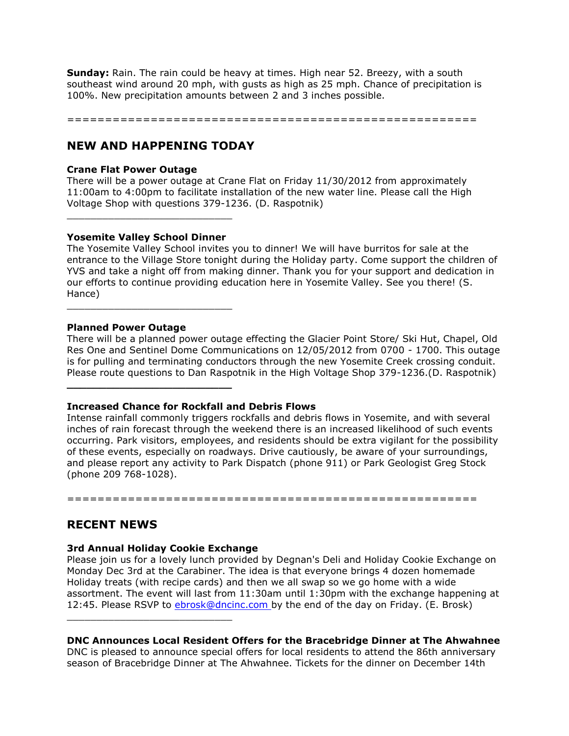**Sunday:** Rain. The rain could be heavy at times. High near 52. Breezy, with a south southeast wind around 20 mph, with gusts as high as 25 mph. Chance of precipitation is 100%. New precipitation amounts between 2 and 3 inches possible.

======================================================

## **NEW AND HAPPENING TODAY**

### **Crane Flat Power Outage**

There will be a power outage at Crane Flat on Friday 11/30/2012 from approximately 11:00am to 4:00pm to facilitate installation of the new water line. Please call the High Voltage Shop with questions 379-1236. (D. Raspotnik)

#### **Yosemite Valley School Dinner**

\_\_\_\_\_\_\_\_\_\_\_\_\_\_\_\_\_\_\_\_\_\_\_\_\_\_\_\_

**\_\_\_\_\_\_\_\_\_\_\_\_\_\_\_\_\_\_\_\_\_\_\_\_\_**

\_\_\_\_\_\_\_\_\_\_\_\_\_\_\_\_\_\_\_\_\_\_\_\_\_\_\_\_

The Yosemite Valley School invites you to dinner! We will have burritos for sale at the entrance to the Village Store tonight during the Holiday party. Come support the children of YVS and take a night off from making dinner. Thank you for your support and dedication in our efforts to continue providing education here in Yosemite Valley. See you there! (S. Hance)

#### **Planned Power Outage**

There will be a planned power outage effecting the Glacier Point Store/ Ski Hut, Chapel, Old Res One and Sentinel Dome Communications on 12/05/2012 from 0700 - 1700. This outage is for pulling and terminating conductors through the new Yosemite Creek crossing conduit. Please route questions to Dan Raspotnik in the High Voltage Shop 379-1236.(D. Raspotnik)

#### **Increased Chance for Rockfall and Debris Flows**

Intense rainfall commonly triggers rockfalls and debris flows in Yosemite, and with several inches of rain forecast through the weekend there is an increased likelihood of such events occurring. Park visitors, employees, and residents should be extra vigilant for the possibility of these events, especially on roadways. Drive cautiously, be aware of your surroundings, and please report any activity to Park Dispatch (phone 911) or Park Geologist Greg Stock (phone 209 768-1028).

======================================================

## **RECENT NEWS**

## **3rd Annual Holiday Cookie Exchange**

\_\_\_\_\_\_\_\_\_\_\_\_\_\_\_\_\_\_\_\_\_\_\_\_\_\_\_\_

Please join us for a lovely lunch provided by Degnan's Deli and Holiday Cookie Exchange on Monday Dec 3rd at the Carabiner. The idea is that everyone brings 4 dozen homemade Holiday treats (with recipe cards) and then we all swap so we go home with a wide assortment. The event will last from 11:30am until 1:30pm with the exchange happening at 12:45. Please RSVP to [ebrosk@dncinc.com b](mailto:ebrosk@dncinc.com)y the end of the day on Friday. (E. Brosk)

## **DNC Announces Local Resident Offers for the Bracebridge Dinner at The Ahwahnee**

DNC is pleased to announce special offers for local residents to attend the 86th anniversary season of Bracebridge Dinner at The Ahwahnee. Tickets for the dinner on December 14th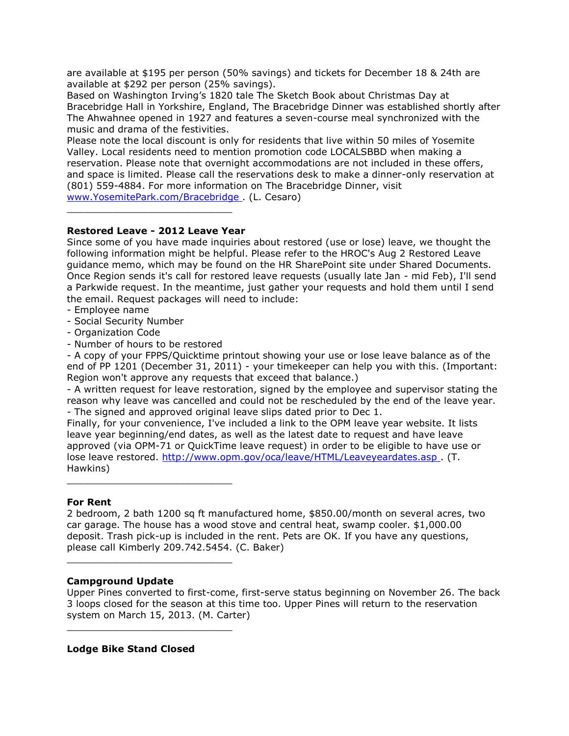are available at \$195 per person (50% savings) and tickets for December 18 & 24th are available at \$292 per person (25% savings).

Based on Washington Irving's 1820 tale The Sketch Book about Christmas Day at Bracebridge Hall in Yorkshire, England, The Bracebridge Dinner was established shortly after The Ahwahnee opened in 1927 and features a seven-course meal synchronized with the music and drama of the festivities.

Please note the local discount is only for residents that live within 50 miles of Yosemite Valley. Local residents need to mention promotion code LOCALSBBD when making a reservation. Please note that overnight accommodations are not included in these offers, and space is limited. Please call the reservations desk to make a dinner-only reservation at (801) 559-4884. For more information on The Bracebridge Dinner, visit [www.YosemitePark.com/Bracebridge .](http://www.yosemitepark.com/Bracebridge) (L. Cesaro)

## **Restored Leave - 2012 Leave Year**

\_\_\_\_\_\_\_\_\_\_\_\_\_\_\_\_\_\_\_\_\_\_\_\_\_\_\_\_

Since some of you have made inquiries about restored (use or lose) leave, we thought the following information might be helpful. Please refer to the HROC's Aug 2 Restored Leave guidance memo, which may be found on the HR SharePoint site under Shared Documents. Once Region sends it's call for restored leave requests (usually late Jan - mid Feb), I'll send a Parkwide request. In the meantime, just gather your requests and hold them until I send the email. Request packages will need to include:

- Employee name
- Social Security Number
- Organization Code
- Number of hours to be restored

- A copy of your FPPS/Quicktime printout showing your use or lose leave balance as of the end of PP 1201 (December 31, 2011) - your timekeeper can help you with this. (Important: Region won't approve any requests that exceed that balance.)

- A written request for leave restoration, signed by the employee and supervisor stating the reason why leave was cancelled and could not be rescheduled by the end of the leave year. - The signed and approved original leave slips dated prior to Dec 1.

Finally, for your convenience, I've included a link to the OPM leave year website. It lists leave year beginning/end dates, as well as the latest date to request and have leave approved (via OPM-71 or QuickTime leave request) in order to be eligible to have use or lose leave restored. [http://www.opm.gov/oca/leave/HTML/Leaveyeardates.asp .](http://www.opm.gov/oca/leave/HTML/Leaveyeardates.asp) (T. Hawkins)

\_\_\_\_\_\_\_\_\_\_\_\_\_\_\_\_\_\_\_\_\_\_\_\_\_\_\_\_

\_\_\_\_\_\_\_\_\_\_\_\_\_\_\_\_\_\_\_\_\_\_\_\_\_\_\_\_

\_\_\_\_\_\_\_\_\_\_\_\_\_\_\_\_\_\_\_\_\_\_\_\_\_\_\_\_

## **For Rent**

2 bedroom, 2 bath 1200 sq ft manufactured home, \$850.00/month on several acres, two car garage. The house has a wood stove and central heat, swamp cooler. \$1,000.00 deposit. Trash pick-up is included in the rent. Pets are OK. If you have any questions, please call Kimberly 209.742.5454. (C. Baker)

## **Campground Update**

Upper Pines converted to first-come, first-serve status beginning on November 26. The back 3 loops closed for the season at this time too. Upper Pines will return to the reservation system on March 15, 2013. (M. Carter)

**Lodge Bike Stand Closed**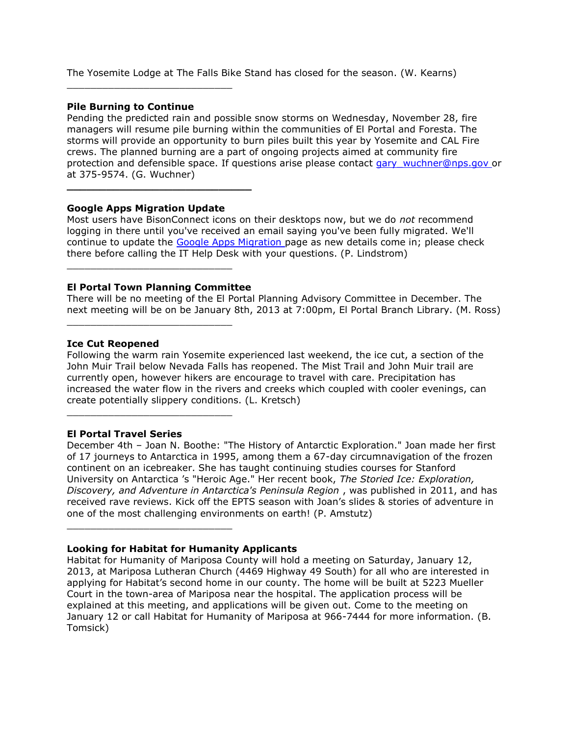The Yosemite Lodge at The Falls Bike Stand has closed for the season. (W. Kearns)

## **Pile Burning to Continue**

\_\_\_\_\_\_\_\_\_\_\_\_\_\_\_\_\_\_\_\_\_\_\_\_\_\_\_\_

Pending the predicted rain and possible snow storms on Wednesday, November 28, fire managers will resume pile burning within the communities of El Portal and Foresta. The storms will provide an opportunity to burn piles built this year by Yosemite and CAL Fire crews. The planned burning are a part of ongoing projects aimed at community fire protection and defensible space. If questions arise please contact [gary\\_wuchner@nps.gov o](mailto:gary_wuchner@nps.gov)r at 375-9574. (G. Wuchner)

## **Google Apps Migration Update**

**\_\_\_\_\_\_\_\_\_\_\_\_\_\_\_\_\_\_\_\_\_\_\_\_\_\_\_\_**

Most users have BisonConnect icons on their desktops now, but we do *not* recommend logging in there until you've received an email saying you've been fully migrated. We'll continue to update the [Google Apps Migration p](http://sharepoint.yose.nps.gov/admn/it/SitePages/GoogleApps.aspx)age as new details come in; please check there before calling the IT Help Desk with your questions. (P. Lindstrom)

## **El Portal Town Planning Committee**

\_\_\_\_\_\_\_\_\_\_\_\_\_\_\_\_\_\_\_\_\_\_\_\_\_\_\_\_

\_\_\_\_\_\_\_\_\_\_\_\_\_\_\_\_\_\_\_\_\_\_\_\_\_\_\_\_

\_\_\_\_\_\_\_\_\_\_\_\_\_\_\_\_\_\_\_\_\_\_\_\_\_\_\_\_

\_\_\_\_\_\_\_\_\_\_\_\_\_\_\_\_\_\_\_\_\_\_\_\_\_\_\_\_

There will be no meeting of the El Portal Planning Advisory Committee in December. The next meeting will be on be January 8th, 2013 at 7:00pm, El Portal Branch Library. (M. Ross)

#### **Ice Cut Reopened**

Following the warm rain Yosemite experienced last weekend, the ice cut, a section of the John Muir Trail below Nevada Falls has reopened. The Mist Trail and John Muir trail are currently open, however hikers are encourage to travel with care. Precipitation has increased the water flow in the rivers and creeks which coupled with cooler evenings, can create potentially slippery conditions. (L. Kretsch)

#### **El Portal Travel Series**

December 4th – Joan N. Boothe: "The History of Antarctic Exploration." Joan made her first of 17 journeys to Antarctica in 1995, among them a 67-day circumnavigation of the frozen continent on an icebreaker. She has taught continuing studies courses for Stanford University on Antarctica 's "Heroic Age." Her recent book, *The Storied Ice: Exploration, Discovery, and Adventure in Antarctica's Peninsula Region* , was published in 2011, and has received rave reviews. Kick off the EPTS season with Joan's slides & stories of adventure in one of the most challenging environments on earth! (P. Amstutz)

#### **Looking for Habitat for Humanity Applicants**

Habitat for Humanity of Mariposa County will hold a meeting on Saturday, January 12, 2013, at Mariposa Lutheran Church (4469 Highway 49 South) for all who are interested in applying for Habitat's second home in our county. The home will be built at 5223 Mueller Court in the town-area of Mariposa near the hospital. The application process will be explained at this meeting, and applications will be given out. Come to the meeting on January 12 or call Habitat for Humanity of Mariposa at 966-7444 for more information. (B. Tomsick)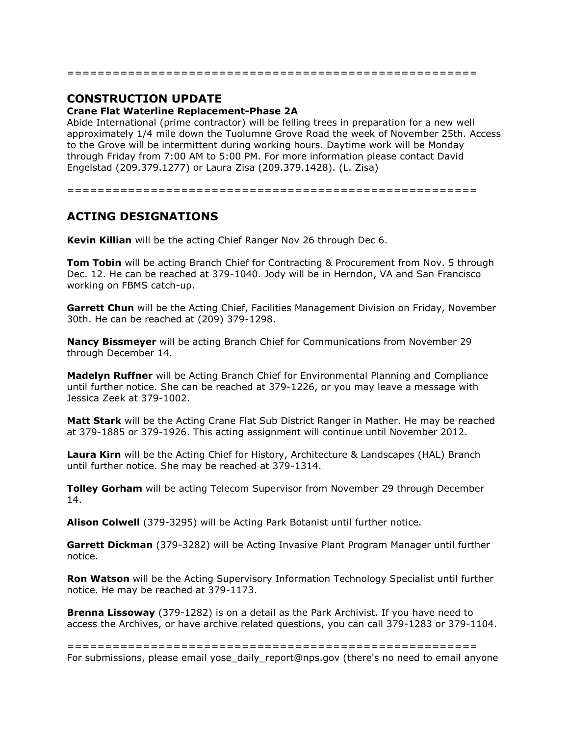# **CONSTRUCTION UPDATE**

## **Crane Flat Waterline Replacement-Phase 2A**

Abide International (prime contractor) will be felling trees in preparation for a new well approximately 1/4 mile down the Tuolumne Grove Road the week of November 25th. Access to the Grove will be intermittent during working hours. Daytime work will be Monday through Friday from 7:00 AM to 5:00 PM. For more information please contact David Engelstad (209.379.1277) or Laura Zisa (209.379.1428). (L. Zisa)

======================================================

======================================================

# **ACTING DESIGNATIONS**

**Kevin Killian** will be the acting Chief Ranger Nov 26 through Dec 6.

**Tom Tobin** will be acting Branch Chief for Contracting & Procurement from Nov. 5 through Dec. 12. He can be reached at 379-1040. Jody will be in Herndon, VA and San Francisco working on FBMS catch-up.

**Garrett Chun** will be the Acting Chief, Facilities Management Division on Friday, November 30th. He can be reached at (209) 379-1298.

**Nancy Bissmeyer** will be acting Branch Chief for Communications from November 29 through December 14.

**Madelyn Ruffner** will be Acting Branch Chief for Environmental Planning and Compliance until further notice. She can be reached at 379-1226, or you may leave a message with Jessica Zeek at 379-1002.

**Matt Stark** will be the Acting Crane Flat Sub District Ranger in Mather. He may be reached at 379-1885 or 379-1926. This acting assignment will continue until November 2012.

**Laura Kirn** will be the Acting Chief for History, Architecture & Landscapes (HAL) Branch until further notice. She may be reached at 379-1314.

**Tolley Gorham** will be acting Telecom Supervisor from November 29 through December 14.

**Alison Colwell** (379-3295) will be Acting Park Botanist until further notice.

**Garrett Dickman** (379-3282) will be Acting Invasive Plant Program Manager until further notice.

**Ron Watson** will be the Acting Supervisory Information Technology Specialist until further notice. He may be reached at 379-1173.

**Brenna Lissoway** (379-1282) is on a detail as the Park Archivist. If you have need to access the Archives, or have archive related questions, you can call 379-1283 or 379-1104.

====================================================== For submissions, please email yose\_daily\_report@nps.gov (there's no need to email anyone